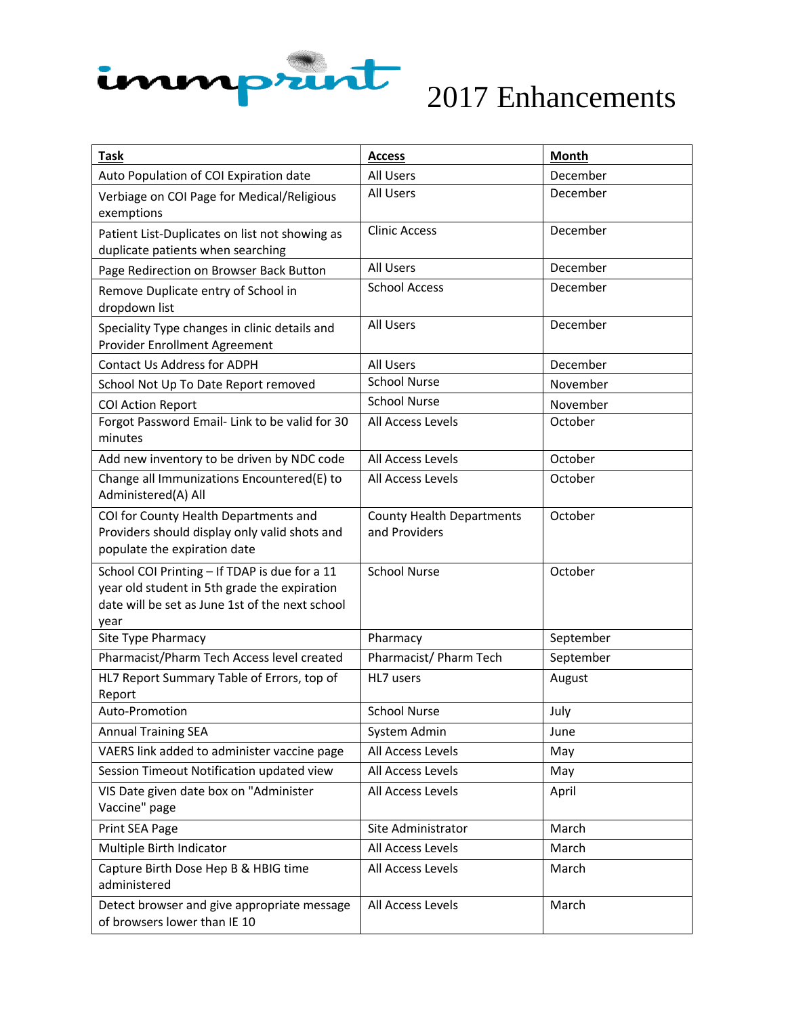

| <b>Task</b>                                                                                                                                              | <b>Access</b>                                     | <b>Month</b> |
|----------------------------------------------------------------------------------------------------------------------------------------------------------|---------------------------------------------------|--------------|
| Auto Population of COI Expiration date                                                                                                                   | All Users                                         | December     |
| Verbiage on COI Page for Medical/Religious<br>exemptions                                                                                                 | <b>All Users</b>                                  | December     |
| Patient List-Duplicates on list not showing as<br>duplicate patients when searching                                                                      | <b>Clinic Access</b>                              | December     |
| Page Redirection on Browser Back Button                                                                                                                  | All Users                                         | December     |
| Remove Duplicate entry of School in<br>dropdown list                                                                                                     | <b>School Access</b>                              | December     |
| Speciality Type changes in clinic details and<br>Provider Enrollment Agreement                                                                           | <b>All Users</b>                                  | December     |
| <b>Contact Us Address for ADPH</b>                                                                                                                       | All Users                                         | December     |
| School Not Up To Date Report removed                                                                                                                     | <b>School Nurse</b>                               | November     |
| <b>COI Action Report</b>                                                                                                                                 | <b>School Nurse</b>                               | November     |
| Forgot Password Email- Link to be valid for 30<br>minutes                                                                                                | All Access Levels                                 | October      |
| Add new inventory to be driven by NDC code                                                                                                               | All Access Levels                                 | October      |
| Change all Immunizations Encountered(E) to<br>Administered(A) All                                                                                        | All Access Levels                                 | October      |
| COI for County Health Departments and<br>Providers should display only valid shots and<br>populate the expiration date                                   | <b>County Health Departments</b><br>and Providers | October      |
| School COI Printing - If TDAP is due for a 11<br>year old student in 5th grade the expiration<br>date will be set as June 1st of the next school<br>year | <b>School Nurse</b>                               | October      |
| Site Type Pharmacy                                                                                                                                       | Pharmacy                                          | September    |
| Pharmacist/Pharm Tech Access level created                                                                                                               | Pharmacist/ Pharm Tech                            | September    |
| HL7 Report Summary Table of Errors, top of<br>Report                                                                                                     | HL7 users                                         | August       |
| Auto-Promotion                                                                                                                                           | <b>School Nurse</b>                               | July         |
| <b>Annual Training SEA</b>                                                                                                                               | System Admin                                      | June         |
| VAERS link added to administer vaccine page                                                                                                              | All Access Levels                                 | May          |
| Session Timeout Notification updated view                                                                                                                | All Access Levels                                 | May          |
| VIS Date given date box on "Administer<br>Vaccine" page                                                                                                  | All Access Levels                                 | April        |
| Print SEA Page                                                                                                                                           | Site Administrator                                | March        |
| Multiple Birth Indicator                                                                                                                                 | All Access Levels                                 | March        |
| Capture Birth Dose Hep B & HBIG time<br>administered                                                                                                     | All Access Levels                                 | March        |
| Detect browser and give appropriate message<br>of browsers lower than IE 10                                                                              | All Access Levels                                 | March        |